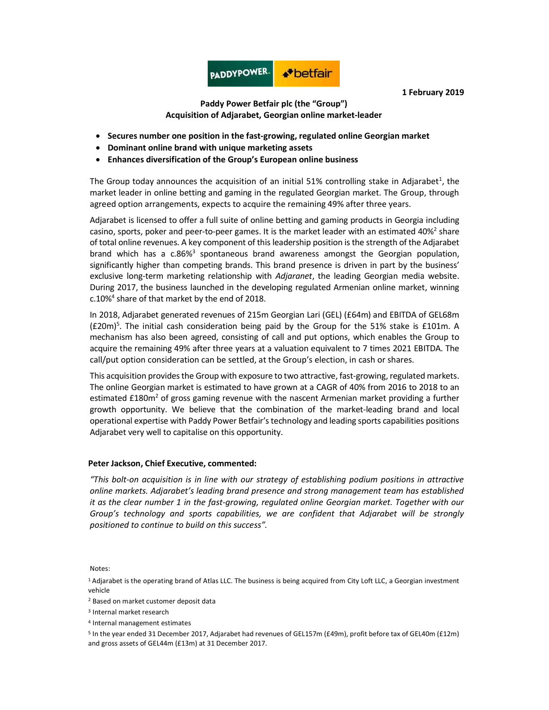

1 February 2019

## Paddy Power Betfair plc (the "Group") Acquisition of Adjarabet, Georgian online market-leader

- Secures number one position in the fast-growing, regulated online Georgian market
- Dominant online brand with unique marketing assets
- Enhances diversification of the Group's European online business

The Group today announces the acquisition of an initial 51% controlling stake in Adjarabet<sup>1</sup>, the market leader in online betting and gaming in the regulated Georgian market. The Group, through agreed option arrangements, expects to acquire the remaining 49% after three years.

Adjarabet is licensed to offer a full suite of online betting and gaming products in Georgia including casino, sports, poker and peer-to-peer games. It is the market leader with an estimated 40%<sup>2</sup> share of total online revenues. A key component of this leadership position is the strength of the Adjarabet brand which has a c.86%<sup>3</sup> spontaneous brand awareness amongst the Georgian population, significantly higher than competing brands. This brand presence is driven in part by the business' exclusive long-term marketing relationship with Adjaranet, the leading Georgian media website. During 2017, the business launched in the developing regulated Armenian online market, winning c.10%<sup>4</sup> share of that market by the end of 2018.

In 2018, Adjarabet generated revenues of 215m Georgian Lari (GEL) (£64m) and EBITDA of GEL68m  $(E20m)^5$ . The initial cash consideration being paid by the Group for the 51% stake is £101m. A mechanism has also been agreed, consisting of call and put options, which enables the Group to acquire the remaining 49% after three years at a valuation equivalent to 7 times 2021 EBITDA. The call/put option consideration can be settled, at the Group's election, in cash or shares.

This acquisition provides the Group with exposure to two attractive, fast-growing, regulated markets. The online Georgian market is estimated to have grown at a CAGR of 40% from 2016 to 2018 to an estimated  $£180m<sup>2</sup>$  of gross gaming revenue with the nascent Armenian market providing a further growth opportunity. We believe that the combination of the market-leading brand and local operational expertise with Paddy Power Betfair's technology and leading sports capabilities positions Adjarabet very well to capitalise on this opportunity.

## Peter Jackson, Chief Executive, commented:

"This bolt-on acquisition is in line with our strategy of establishing podium positions in attractive online markets. Adjarabet's leading brand presence and strong management team has established it as the clear number 1 in the fast-growing, regulated online Georgian market. Together with our Group's technology and sports capabilities, we are confident that Adjarabet will be strongly positioned to continue to build on this success".

## Notes:

<sup>1</sup>Adjarabet is the operating brand of Atlas LLC. The business is being acquired from City Loft LLC, a Georgian investment vehicle

2 Based on market customer deposit data

4 Internal management estimates

5 In the year ended 31 December 2017, Adjarabet had revenues of GEL157m (£49m), profit before tax of GEL40m (£12m) and gross assets of GEL44m (£13m) at 31 December 2017.

<sup>3</sup> Internal market research